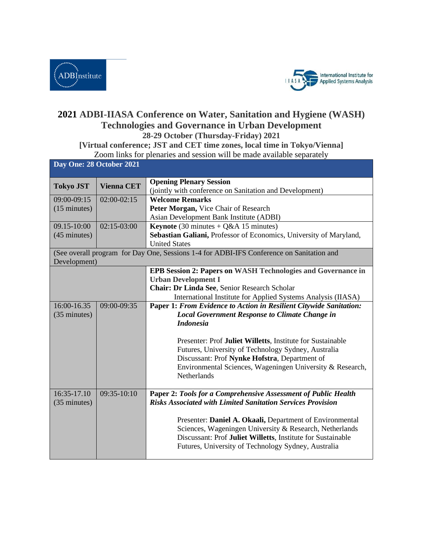



## **2021 ADBI-IIASA Conference on Water, Sanitation and Hygiene (WASH) Technologies and Governance in Urban Development 28-29 October (Thursday-Friday) 2021**

## **[Virtual conference; JST and CET time zones, local time in Tokyo/Vienna]**

Zoom links for plenaries and session will be made available separately

| Day One: 28 October 2021                                                                 |                   |                                                                                                                                                                                                                                                |  |  |
|------------------------------------------------------------------------------------------|-------------------|------------------------------------------------------------------------------------------------------------------------------------------------------------------------------------------------------------------------------------------------|--|--|
| <b>Tokyo JST</b>                                                                         | <b>Vienna CET</b> | <b>Opening Plenary Session</b><br>(jointly with conference on Sanitation and Development)                                                                                                                                                      |  |  |
| 09:00-09:15                                                                              | $02:00-02:15$     | <b>Welcome Remarks</b>                                                                                                                                                                                                                         |  |  |
| $(15 \text{ minutes})$                                                                   |                   | Peter Morgan, Vice Chair of Research                                                                                                                                                                                                           |  |  |
|                                                                                          |                   | Asian Development Bank Institute (ADBI)                                                                                                                                                                                                        |  |  |
| 09.15-10:00                                                                              | $02:15-03:00$     | <b>Keynote</b> (30 minutes + $Q&AA$ 15 minutes)                                                                                                                                                                                                |  |  |
| $(45 \text{ minutes})$                                                                   |                   | Sebastian Galiani, Professor of Economics, University of Maryland,                                                                                                                                                                             |  |  |
|                                                                                          |                   | <b>United States</b>                                                                                                                                                                                                                           |  |  |
| (See overall program for Day One, Sessions 1-4 for ADBI-IFS Conference on Sanitation and |                   |                                                                                                                                                                                                                                                |  |  |
| Development)                                                                             |                   |                                                                                                                                                                                                                                                |  |  |
|                                                                                          |                   | <b>EPB Session 2: Papers on WASH Technologies and Governance in</b>                                                                                                                                                                            |  |  |
|                                                                                          |                   | <b>Urban Development I</b>                                                                                                                                                                                                                     |  |  |
|                                                                                          |                   | Chair: Dr Linda See, Senior Research Scholar                                                                                                                                                                                                   |  |  |
|                                                                                          |                   | International Institute for Applied Systems Analysis (IIASA)                                                                                                                                                                                   |  |  |
| 16:00-16.35                                                                              | 09:00-09:35       | Paper 1: From Evidence to Action in Resilient Citywide Sanitation:                                                                                                                                                                             |  |  |
| (35 minutes)                                                                             |                   | <b>Local Government Response to Climate Change in</b>                                                                                                                                                                                          |  |  |
|                                                                                          |                   | <b>Indonesia</b>                                                                                                                                                                                                                               |  |  |
|                                                                                          |                   | Presenter: Prof Juliet Willetts, Institute for Sustainable<br>Futures, University of Technology Sydney, Australia<br>Discussant: Prof Nynke Hofstra, Department of<br>Environmental Sciences, Wageningen University & Research,<br>Netherlands |  |  |
| 16:35-17.10<br>(35 minutes)                                                              | 09:35-10:10       | Paper 2: Tools for a Comprehensive Assessment of Public Health<br><b>Risks Associated with Limited Sanitation Services Provision</b>                                                                                                           |  |  |
|                                                                                          |                   | Presenter: Daniel A. Okaali, Department of Environmental<br>Sciences, Wageningen University & Research, Netherlands<br>Discussant: Prof Juliet Willetts, Institute for Sustainable<br>Futures, University of Technology Sydney, Australia      |  |  |